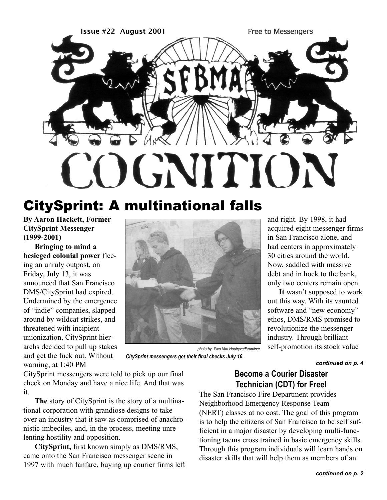

# CitySprint: A multinational falls

**By Aaron Hackett, Former CitySprint Messenger (1999-2001)**

**Bringing to mind a besieged colonial power** fleeing an unruly outpost, on Friday, July 13, it was announced that San Francisco DMS/CitySprint had expired. Undermined by the emergence of "indie" companies, slapped around by wildcat strikes, and threatened with incipient unionization, CitySprint hierarchs decided to pull up stakes and get the fuck out. Without warning, at 1:40 PM



*photo by Pico Van Houtryve/Examiner CitySprint messengers get their final checks July 16.*

and right. By 1998, it had acquired eight messenger firms in San Francisco alone, and had centers in approximately 30 cities around the world. Now, saddled with massive debt and in hock to the bank, only two centers remain open.

**It** wasn't supposed to work out this way. With its vaunted software and "new economy" ethos, DMS/RMS promised to revolutionize the messenger industry. Through brilliant self-promotion its stock value

*continued on p. 4*

CitySprint messengers were told to pick up our final check on Monday and have a nice life. And that was it.

**The** story of CitySprint is the story of a multinational corporation with grandiose designs to take over an industry that it saw as comprised of anachronistic imbeciles, and, in the process, meeting unrelenting hostility and opposition.

**CitySprint,** first known simply as DMS/RMS, came onto the San Francisco messenger scene in 1997 with much fanfare, buying up courier firms left

# **Become a Courier Disaster Technician (CDT) for Free!**

The San Francisco Fire Department provides Neighborhood Emergency Response Team (NERT) classes at no cost. The goal of this program is to help the citizens of San Francisco to be self sufficient in a major disaster by developing multi-functioning taems cross trained in basic emergency skills. Through this program individuals will learn hands on disaster skills that will help them as members of an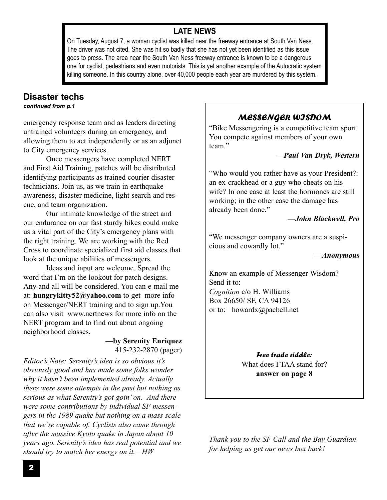# **LATE NEWS**

On Tuesday, August 7, a woman cyclist was killed near the freeway entrance at South Van Ness. The driver was not cited. She was hit so badly that she has not yet been identified as this issue goes to press. The area near the South Van Ness freeway entrance is known to be a dangerous one for cyclist, pedestrians and even motorists. This is yet another example of the Autocratic system killing someone. In this country alone, over 40,000 people each year are murdered by this system.

# **Disaster techs**

*continued from p.1*

emergency response team and as leaders directing untrained volunteers during an emergency, and allowing them to act independently or as an adjunct to City emergency services.

Once messengers have completed NERT and First Aid Training, patches will be distributed identifying participants as trained courier disaster technicians. Join us, as we train in earthquake awareness, disaster medicine, light search and rescue, and team organization.

Our intimate knowledge of the street and our endurance on our fast sturdy bikes could make us a vital part of the City's emergency plans with the right training. We are working with the Red Cross to coordinate specialized first aid classes that look at the unique abilities of messengers.

Ideas and input are welcome. Spread the word that I'm on the lookout for patch designs. Any and all will be considered. You can e-mail me at: **hungrykitty52@yahoo.com** to get more info on Messenger/NERT training and to sign up.You can also visit www.nertnews for more info on the NERT program and to find out about ongoing neighborhood classes.

### —**by Serenity Enriquez** 415-232-2870 (pager)

*Editor's Note: Serenity's idea is so obvious it's obviously good and has made some folks wonder why it hasn't been implemented already. Actually there were some attempts in the past but nothing as serious as what Serenity's got goin' on. And there were some contributions by individual SF messengers in the 1989 quake but nothing on a mass scale that we're capable of. Cyclists also came through after the massive Kyoto quake in Japan about 10 years ago. Serenity's idea has real potential and we should try to match her energy on it.—HW*

# MESSENGER WISDOM

"Bike Messengering is a competitive team sport. You compete against members of your own team."

### *—Paul Van Dryk, Western*

"Who would you rather have as your President?: an ex-crackhead or a guy who cheats on his wife? In one case at least the hormones are still working; in the other case the damage has already been done."

### *—John Blackwell, Pro*

"We messenger company owners are a suspicious and cowardly lot."

### *—Anonymous*

Know an example of Messenger Wisdom? Send it to: *Cognition* c/o H. Williams Box 26650/ SF, CA 94126 or to: howardx@pacbell.net

> Free trade riddle: What does FTAA stand for? **answer on page 8**

*Thank you to the SF Call and the Bay Guardian for helping us get our news box back!*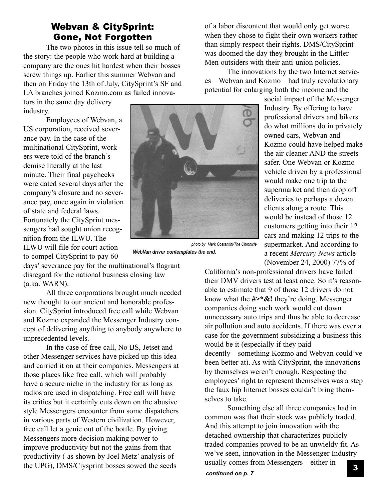# Webvan & CitySprint: Gone, Not Forgotten

The two photos in this issue tell so much of the story: the people who work hard at building a company are the ones hit hardest when their bosses screw things up. Earlier this summer Webvan and then on Friday the 13th of July, CitySprint's SF and LA branches joined Kozmo.com as failed innova-

tors in the same day delivery industry.

Employees of Webvan, a US corporation, received severance pay. In the case of the multinational CitySprint, workers were told of the branch's demise literally at the last minute. Their final paychecks were dated several days after the company's closure and no severance pay, once again in violation of state and federal laws. Fortunately the CitySprint messengers had sought union recognition from the ILWU. The ILWU will file for court action to compel CitySprint to pay 60

days' severance pay for the multinational's flagrant disregard for the national business closing law (a.ka. WARN).

All three corporations brought much needed new thought to our ancient and honorable profession. CitySprint introduced free call while Webvan and Kozmo expanded the Messenger Industry concept of delivering anything to anybody anywhere to unprecedented levels.

In the case of free call, No BS, Jetset and other Messenger services have picked up this idea and carried it on at their companies. Messengers at those places like free call, which will probably have a secure niche in the industry for as long as radios are used in dispatching. Free call will have its critics but it certainly cuts down on the abusive style Messengers encounter from some dispatchers in various parts of Western civilization. However, free call let a genie out of the bottle. By giving Messengers more decision making power to improve productivity but not the gains from that productivity ( as shown by Joel Metz' analysis of the UPG), DMS/Ciysprint bosses sowed the seeds

of a labor discontent that would only get worse when they chose to fight their own workers rather than simply respect their rights. DMS/CitySprint was doomed the day they brought in the Littler Men outsiders with their anti-union policies.

The innovations by the two Internet services—Webvan and Kozmo—had truly revolutionary potential for enlarging both the income and the

social impact of the Messenger Industry. By offering to have professional drivers and bikers do what millions do in privately owned cars, Webvan and Kozmo could have helped make the air cleaner AND the streets safer. One Webvan or Kozmo vehicle driven by a professional would make one trip to the supermarket and then drop off deliveries to perhaps a dozen clients along a route. This would be instead of those 12 customers getting into their 12 cars and making 12 trips to the supermarket. And according to a recent *Mercury News* article (November 24, 2000) 77% of

California's non-professional drivers have failed their DMV drivers test at least once. So it's reasonable to estimate that 9 of those 12 drivers do not know what the **#>\*&!** they're doing. Messenger companies doing such work would cut down unnecessary auto trips and thus be able to decrease air pollution and auto accidents. If there was ever a case for the government subsidizing a business this would be it (especially if they paid decently—something Kozmo and Webvan could've been better at). As with CitySprint, the innovations by themselves weren't enough. Respecting the employees' right to represent themselves was a step the faux hip Internet bosses couldn't bring themselves to take.

Something else all three companies had in common was that their stock was publicly traded. And this attempt to join innovation with the detached ownership that characterizes publicly traded companies proved to be an unwieldy fit. As we've seen, innovation in the Messenger Industry usually comes from Messengers—either in 3



*photo by Mark Costantini/The Chronicle WebVan driver contemplates the end.*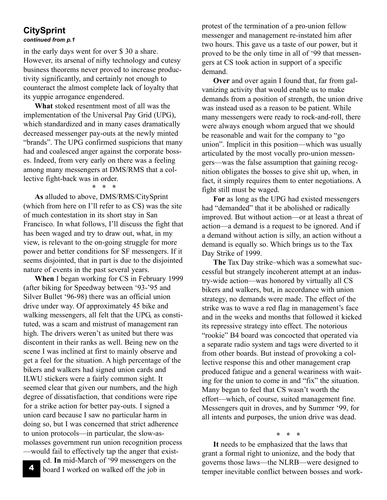# **CitySprint**

#### *continued from p.1*

in the early days went for over \$ 30 a share. However, its arsenal of nifty technology and cutesy business theorems never proved to increase productivity significantly, and certainly not enough to counteract the almost complete lack of loyalty that its yuppie arrogance engendered.

**What** stoked resentment most of all was the implementation of the Universal Pay Grid (UPG), which standardized and in many cases dramatically decreased messenger pay-outs at the newly minted "brands". The UPG confirmed suspicions that many had and coalesced anger against the corporate bosses. Indeed, from very early on there was a feeling among many messengers at DMS/RMS that a collective fight-back was in order.

#### **\* \* \***

**As** alluded to above, DMS/RMS/CitySprint (which from here on I'll refer to as CS) was the site of much contestation in its short stay in San Francisco. In what follows, I'll discuss the fight that has been waged and try to draw out, what, in my view, is relevant to the on-going struggle for more power and better conditions for SF messengers. If it seems disjointed, that in part is due to the disjointed nature of events in the past several years.

**When** I began working for CS in February 1999 (after biking for Speedway between '93-'95 and Silver Bullet '96-98) there was an official union drive under way. Of approximately 45 bike and walking messengers, all felt that the UPG, as constituted, was a scam and mistrust of management ran high. The drivers weren't as united but there was discontent in their ranks as well. Being new on the scene I was inclined at first to mainly observe and get a feel for the situation. A high percentage of the bikers and walkers had signed union cards and ILWU stickers were a fairly common sight. It seemed clear that given our numbers, and the high degree of dissatisfaction, that conditions were ripe for a strike action for better pay-outs. I signed a union card because I saw no particular harm in doing so, but I was concerned that strict adherence to union protocols—in particular, the slow-asmolasses government run union recognition process —would fail to effectively tap the anger that exist-

ed. **In** mid-March of '99 messengers on the board I worked on walked off the job in

4

protest of the termination of a pro-union fellow messenger and management re-instated him after two hours. This gave us a taste of our power, but it proved to be the only time in all of '99 that messengers at CS took action in support of a specific demand.

**Over** and over again I found that, far from galvanizing activity that would enable us to make demands from a position of strength, the union drive was instead used as a reason to be patient. While many messengers were ready to rock-and-roll, there were always enough whom argued that we should be reasonable and wait for the company to "go union". Implicit in this position—which was usually articulated by the most vocally pro-union messengers—was the false assumption that gaining recognition obligates the bosses to give shit up, when, in fact, it simply requires them to enter negotiations. A fight still must be waged.

**For** as long as the UPG had existed messengers had "demanded" that it be abolished or radically improved. But without action—or at least a threat of action—a demand is a request to be ignored. And if a demand without action is silly, an action without a demand is equally so. Which brings us to the Tax Day Strike of 1999.

**The** Tax Day strike–which was a somewhat successful but strangely incoherent attempt at an industry-wide action—was honored by virtually all CS bikers and walkers, but, in accordance with union strategy, no demands were made. The effect of the strike was to wave a red flag in management's face and in the weeks and months that followed it kicked its repressive strategy into effect. The notorious "rookie" B4 board was concocted that operated via a separate radio system and tags were diverted to it from other boards. But instead of provoking a collective response this and other management crap produced fatigue and a general weariness with waiting for the union to come in and "fix" the situation. Many began to feel that CS wasn't worth the effort—which, of course, suited management fine. Messengers quit in droves, and by Summer '99, for all intents and purposes, the union drive was dead.

**\* \* \***

**It** needs to be emphasized that the laws that grant a formal right to unionize, and the body that governs those laws—the NLRB—were designed to temper inevitable conflict between bosses and work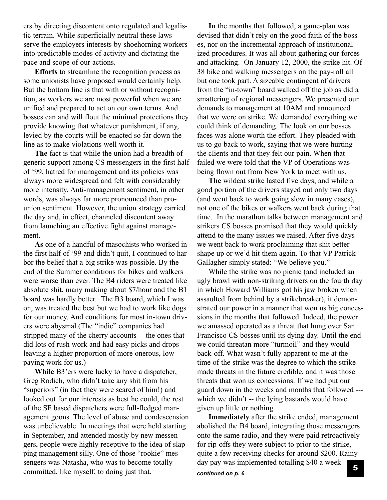ers by directing discontent onto regulated and legalistic terrain. While superficially neutral these laws serve the employers interests by shoehorning workers into predictable modes of activity and dictating the pace and scope of our actions.

**Efforts** to streamline the recognition process as some unionists have proposed would certainly help. But the bottom line is that with or without recognition, as workers we are most powerful when we are unified and prepared to act on our own terms. And bosses can and will flout the minimal protections they provide knowing that whatever punishment, if any, levied by the courts will be enacted so far down the line as to make violations well worth it.

**The** fact is that while the union had a breadth of generic support among CS messengers in the first half of '99, hatred for management and its policies was always more widespread and felt with considerably more intensity. Anti-management sentiment, in other words, was always far more pronounced than prounion sentiment. However, the union strategy carried the day and, in effect, channeled discontent away from launching an effective fight against management.

**As** one of a handful of masochists who worked in the first half of '99 and didn't quit, I continued to harbor the belief that a big strike was possible. By the end of the Summer conditions for bikes and walkers were worse than ever. The B4 riders were treated like absolute shit, many making about \$7/hour and the B1 board was hardly better. The B3 board, which I was on, was treated the best but we had to work like dogs for our money. And conditions for most in-town drivers were abysmal.(The "indie" companies had stripped many of the cherry accounts -- the ones that did lots of rush work and had easy picks and drops - leaving a higher proportion of more onerous, lowpaying work for us.)

**While** B3'ers were lucky to have a dispatcher, Greg Rodich, who didn't take any shit from his "superiors" (in fact they were scared of him!) and looked out for our interests as best he could, the rest of the SF based dispatchers were full-fledged management goons. The level of abuse and condescension was unbelievable. In meetings that were held starting in September, and attended mostly by new messengers, people were highly receptive to the idea of slapping management silly. One of those "rookie" messengers was Natasha, who was to become totally committed, like myself, to doing just that.

**In** the months that followed, a game-plan was devised that didn't rely on the good faith of the bosses, nor on the incremental approach of institutionalized procedures. It was all about gathering our forces and attacking. On January 12, 2000, the strike hit. Of 38 bike and walking messengers on the pay-roll all but one took part. A sizeable contingent of drivers from the "in-town" board walked off the job as did a smattering of regional messengers. We presented our demands to management at 10AM and announced that we were on strike. We demanded everything we could think of demanding. The look on our bosses faces was alone worth the effort. They pleaded with us to go back to work, saying that we were hurting the clients and that they felt our pain. When that failed we were told that the VP of Operations was being flown out from New York to meet with us.

**The** wildcat strike lasted five days, and while a good portion of the drivers stayed out only two days (and went back to work going slow in many cases), not one of the bikes or walkers went back during that time. In the marathon talks between management and strikers CS bosses promised that they would quickly attend to the many issues we raised. After five days we went back to work proclaiming that shit better shape up or we'd hit them again. To that VP Patrick Gallagher simply stated: "We believe you."

While the strike was no picnic (and included an ugly brawl with non-striking drivers on the fourth day in which Howard Williams got his jaw broken when assaulted from behind by a strikebreaker), it demonstrated our power in a manner that won us big concessions in the months that followed. Indeed, the power we amassed operated as a threat that hung over San Francisco CS bosses until its dying day. Until the end we could threatan more "turmoil" and they would back-off. What wasn't fully apparent to me at the time of the strike was the degree to which the strike made threats in the future credible, and it was those threats that won us concessions. If we had put our guard down in the weeks and months that followed -- which we didn't -- the lying bastards would have given up little or nothing.

**Immediately** after the strike ended, management abolished the B4 board, integrating those messengers onto the same radio, and they were paid retroactively for rip-offs they were subject to prior to the strike, quite a few receiving checks for around \$200. Rainy day pay was implemented totalling \$40 a week  $\overline{\phantom{a}}$ *continued on p. 6*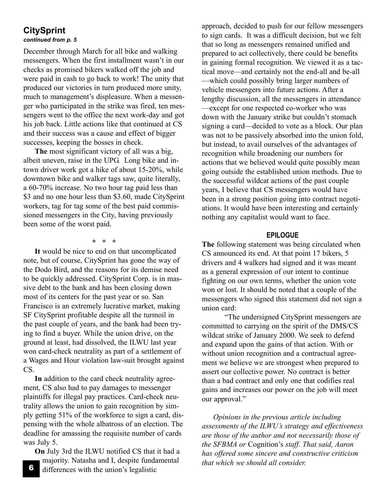# **CitySprint**

#### *continued from p. 5*

December through March for all bike and walking messengers. When the first installment wasn't in our checks as promised bikers walked off the job and were paid in cash to go back to work! The unity that produced our victories in turn produced more unity, much to management's displeasure. When a messenger who participated in the strike was fired, ten messengers went to the office the next work-day and got his job back. Little actions like that continued at CS and their success was a cause and effect of bigger successes, keeping the bosses in check.

**The** most significant victory of all was a big, albeit uneven, raise in the UPG. Long bike and intown driver work got a hike of about 15-20%, while downtown bike and walker tags saw, quite literally, a 60-70% increase. No two hour tag paid less than \$3 and no one hour less than \$3.60, made CitySprint workers, tag for tag some of the best paid commissioned messengers in the City, having previously been some of the worst paid.

**\* \* \*** 

**It** would be nice to end on that uncomplicated note, but of course, CitySprint has gone the way of the Dodo Bird, and the reasons for its demise need to be quickly addressed. CitySprint Corp. is in massive debt to the bank and has been closing down most of its centers for the past year or so. San Francisco is an extremely lucrative market, making SF CitySprint profitable despite all the turmoil in the past couple of years, and the bank had been trying to find a buyer. While the union drive, on the ground at least, had dissolved, the ILWU last year won card-check neutrality as part of a settlement of a Wages and Hour violation law-suit brought against CS.

**In** addition to the card check neutrality agreement, CS also had to pay damages to messenger plaintiffs for illegal pay practices. Card-check neutrality allows the union to gain recognition by simply getting 51% of the workforce to sign a card, dispensing with the whole albatross of an election. The deadline for amassing the requisite number of cards was July 5.

**On** July 3rd the ILWU notified CS that it had a majority. Natasha and I, despite fundamental differences with the union's legalistic

approach, decided to push for our fellow messengers to sign cards. It was a difficult decision, but we felt that so long as messengers remained unified and prepared to act collectively, there could be benefits in gaining formal recognition. We viewed it as a tactical move—and certainly not the end-all and be-all —which could possibly bring larger numbers of vehicle messengers into future actions. After a lengthy discussion, all the messengers in attendance —except for one respected co-worker who was down with the January strike but couldn't stomach signing a card—decided to vote as a block. Our plan was not to be passively absorbed into the union fold, but instead, to avail ourselves of the advantages of recognition while broadening our numbers for actions that we believed would quite possibly mean going outside the established union methods. Due to the successful wildcat actions of the past couple years, I believe that CS messengers would have been in a strong position going into contract negotiations. It would have been interesting and certainly nothing any capitalist would want to face.

#### **EPILOGUE**

**The** following statement was being circulated when CS announced its end. At that point 17 bikers, 5 drivers and 4 walkers had signed and it was meant as a general expression of our intent to continue fighting on our own terms, whether the union vote won or lost. It should be noted that a couple of the messengers who signed this statement did not sign a union card:

"The undersigned CitySprint messengers are committed to carrying on the spirit of the DMS/CS wildcat strike of January 2000. We seek to defend and expand upon the gains of that action. With or without union recognition and a contractual agreement we believe we are strongest when prepared to assert our collective power. No contract is better than a bad contract and only one that codifies real gains and increases our power on the job will meet our approval."

*Opinions in the previous article including assessments of the ILWU's strategy and effectiveness are those of the author and not necessarily those of the SFBMA or* Cognition's *staff. That said, Aaron has offered some sincere and constructive criticism that which we should all consider.*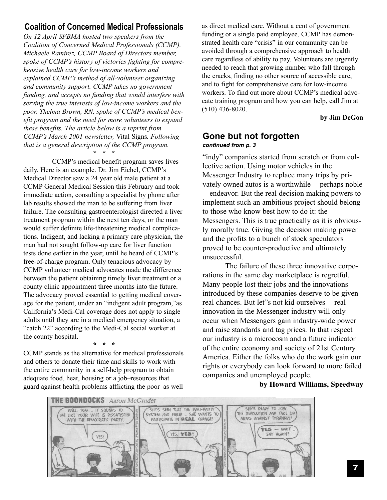# **Coalition of Concerned Medical Professionals**

*On 12 April SFBMA hosted two speakers from the Coalition of Concerned Medical Professionals (CCMP). Michaele Ramirez, CCMP Board of Directors member, spoke of CCMP's history of victories fighting for comprehensive health care for low-income workers and explained CCMP's method of all-volunteer organizing and community support. CCMP takes no government funding, and accepts no funding that would interfere with serving the true interests of low-income workers and the poor. Thelma Brown, RN, spoke of CCMP's medical benefit program and the need for more volunteers to expand these benefits. The article below is a reprint from CCMP's March 2001 newsletter,* Vital Signs*. Following that is a general description of the CCMP program.* **\* \* \***

CCMP's medical benefit program saves lives daily. Here is an example. Dr. Jim Eichel, CCMP's Medical Director saw a 24 year old male patient at a CCMP General Medical Session this February and took immediate action, consulting a specialist by phone after lab results showed the man to be suffering from liver failure. The consulting gastroenterologist directed a liver treatment program within the next ten days, or the man would suffer definite life-threatening medical complications. Indigent, and lacking a primary care physician, the man had not sought follow-up care for liver function tests done earlier in the year, until he heard of CCMP's free-of-charge program. Only tenacious advocacy by CCMP volunteer medical advocates made the difference between the patient obtaining timely liver treatment or a county clinic appointment three months into the future. The advocacy proved essential to getting medical coverage for the patient, under an "indigent adult program,"as California's Medi-Cal coverage does not apply to single adults until they are in a medical emergency situation, a "catch 22" according to the Medi-Cal social worker at the county hospital.

**\* \* \***

CCMP stands as the alternative for medical professionals and others to donate their time and skills to work with the entire community in a self-help program to obtain adequate food, heat, housing or a job–resources that guard against health problems afflicting the poor–as well

as direct medical care. Without a cent of government funding or a single paid employee, CCMP has demonstrated health care "crisis" in our community can be avoided through a comprehensive approach to health care regardless of ability to pay. Volunteers are urgently needed to reach that growing number who fall through the cracks, finding no other source of accessible care, and to fight for comprehensive care for low-income workers. To find out more about CCMP's medical advocate training program and how you can help, call Jim at (510) 436-8020.

**—by Jim DeGon**

### **Gone but not forgotten** *continued from p. 3*

"indy" companies started from scratch or from collective action. Using motor vehicles in the Messenger Industry to replace many trips by privately owned autos is a worthwhile -- perhaps noble -- endeavor. But the real decision making powers to implement such an ambitious project should belong to those who know best how to do it: the Messengers. This is true practically as it is obviously morally true. Giving the decision making power and the profits to a bunch of stock speculators proved to be counter-productive and ultimately unsuccessful.

The failure of these three innovative corporations in the same day marketplace is regretful. Many people lost their jobs and the innovations introduced by these companies deserve to be given real chances. But let"s not kid ourselves -- real innovation in the Messenger industry will only occur when Messengers gain industry-wide power and raise standards and tag prices. In that respect our industry is a microcosm and a future indicator of the entire economy and society of 21st Century America. Either the folks who do the work gain our rights or everybody can look forward to more failed companies and unemployed people.

**—by Howard Williams, Speedway**